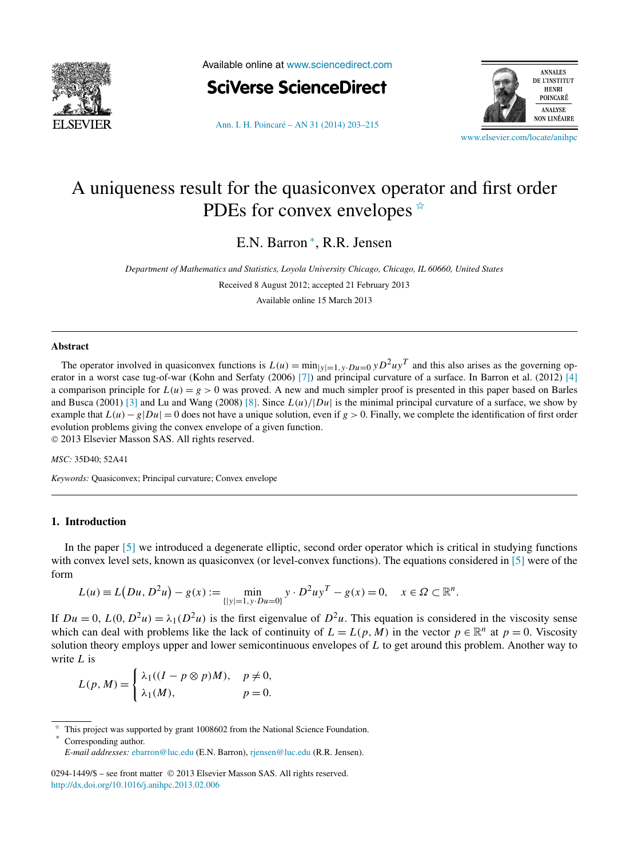

Available online at [www.sciencedirect.com](http://www.sciencedirect.com)



[Ann. I. H. Poincaré – AN 31 \(2014\) 203–215](http://dx.doi.org/10.1016/j.anihpc.2013.02.006)



[www.elsevier.com/locate/anihpc](http://www.elsevier.com/locate/anihpc)

# A uniqueness result for the quasiconvex operator and first order PDEs for convex envelopes  $\hat{z}$

E.N. Barron <sup>∗</sup> , R.R. Jensen

*Department of Mathematics and Statistics, Loyola University Chicago, Chicago, IL 60660, United States*

Received 8 August 2012; accepted 21 February 2013

Available online 15 March 2013

#### **Abstract**

The operator involved in quasiconvex functions is  $L(u) = \min_{|y|=1, y \cdot Du=0} yD^2uy^T$  and this also arises as the governing operator in a worst case tug-of-war (Kohn and Serfaty (2006) [\[7\]\)](#page-12-0) and principal curvature of a surface. In Barron et al. (2012) [\[4\]](#page-12-0) a comparison principle for  $L(u) = g > 0$  was proved. A new and much simpler proof is presented in this paper based on Barles and Busca (2001) [\[3\]](#page-12-0) and Lu and Wang (2008) [\[8\].](#page-12-0) Since  $L(u)/|Du|$  is the minimal principal curvature of a surface, we show by example that  $L(u) - g|Du| = 0$  does not have a unique solution, even if  $g > 0$ . Finally, we complete the identification of first order evolution problems giving the convex envelope of a given function. © 2013 Elsevier Masson SAS. All rights reserved.

*MSC:* 35D40; 52A41

*Keywords:* Quasiconvex; Principal curvature; Convex envelope

### **1. Introduction**

In the paper [\[5\]](#page-12-0) we introduced a degenerate elliptic, second order operator which is critical in studying functions with convex level sets, known as quasiconvex (or level-convex functions). The equations considered in [\[5\]](#page-12-0) were of the form

$$
L(u) \equiv L\big(Du, D^2u\big) - g(x) := \min_{\{|y| = 1, y \cdot Du = 0\}} y \cdot D^2 u y^T - g(x) = 0, \quad x \in \Omega \subset \mathbb{R}^n.
$$

If  $Du = 0$ ,  $L(0, D^2u) = \lambda_1(D^2u)$  is the first eigenvalue of  $D^2u$ . This equation is considered in the viscosity sense which can deal with problems like the lack of continuity of  $L = L(p, M)$  in the vector  $p \in \mathbb{R}^n$  at  $p = 0$ . Viscosity solution theory employs upper and lower semicontinuous envelopes of *L* to get around this problem. Another way to write *L* is

$$
L(p, M) = \begin{cases} \lambda_1((I - p \otimes p)M), & p \neq 0, \\ \lambda_1(M), & p = 0. \end{cases}
$$

Corresponding author.

This project was supported by grant 1008602 from the National Science Foundation.

*E-mail addresses:* [ebarron@luc.edu](mailto:ebarron@luc.edu) (E.N. Barron), [rjensen@luc.edu](mailto:rjensen@luc.edu) (R.R. Jensen).

<sup>0294-1449/\$ –</sup> see front matter © 2013 Elsevier Masson SAS. All rights reserved. <http://dx.doi.org/10.1016/j.anihpc.2013.02.006>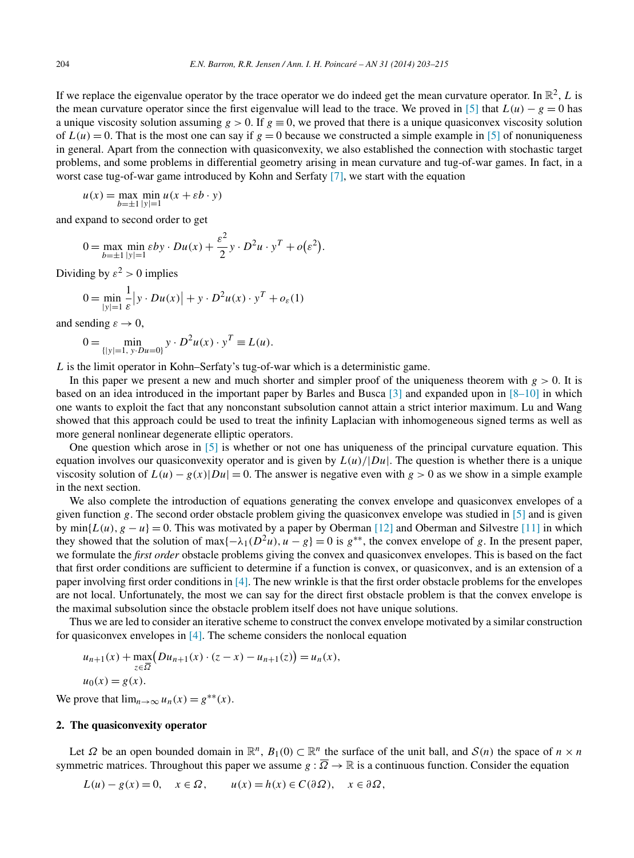If we replace the eigenvalue operator by the trace operator we do indeed get the mean curvature operator. In  $\mathbb{R}^2$ , *L* is the mean curvature operator since the first eigenvalue will lead to the trace. We proved in [\[5\]](#page-12-0) that  $L(u) - g = 0$  has a unique viscosity solution assuming  $g > 0$ . If  $g \equiv 0$ , we proved that there is a unique quasiconvex viscosity solution of  $L(u) = 0$ . That is the most one can say if  $g = 0$  because we constructed a simple example in [\[5\]](#page-12-0) of nonuniqueness in general. Apart from the connection with quasiconvexity, we also established the connection with stochastic target problems, and some problems in differential geometry arising in mean curvature and tug-of-war games. In fact, in a worst case tug-of-war game introduced by Kohn and Serfaty [\[7\],](#page-12-0) we start with the equation

$$
u(x) = \max_{b=\pm 1} \min_{|y|=1} u(x + \varepsilon b \cdot y)
$$

and expand to second order to get

$$
0 = \max_{b=\pm 1} \min_{|y|=1} \varepsilon by \cdot Du(x) + \frac{\varepsilon^2}{2} y \cdot D^2 u \cdot y^T + o(\varepsilon^2).
$$

Dividing by  $\varepsilon^2 > 0$  implies

$$
0 = \min_{|y|=1} \frac{1}{\varepsilon} |y \cdot Du(x)| + y \cdot D^2 u(x) \cdot y^T + o_{\varepsilon}(1)
$$

and sending  $\varepsilon \to 0$ ,

$$
0 = \min_{\{|y|=1, y \cdot Du = 0\}} y \cdot D^2 u(x) \cdot y^T \equiv L(u).
$$

*L* is the limit operator in Kohn–Serfaty's tug-of-war which is a deterministic game.

In this paper we present a new and much shorter and simpler proof of the uniqueness theorem with *g >* 0. It is based on an idea introduced in the important paper by Barles and Busca [\[3\]](#page-12-0) and expanded upon in [\[8–10\]](#page-12-0) in which one wants to exploit the fact that any nonconstant subsolution cannot attain a strict interior maximum. Lu and Wang showed that this approach could be used to treat the infinity Laplacian with inhomogeneous signed terms as well as more general nonlinear degenerate elliptic operators.

One question which arose in [\[5\]](#page-12-0) is whether or not one has uniqueness of the principal curvature equation. This equation involves our quasiconvexity operator and is given by  $L(u)/|Du|$ . The question is whether there is a unique viscosity solution of  $L(u) - g(x)|Du| = 0$ . The answer is negative even with  $g > 0$  as we show in a simple example in the next section.

We also complete the introduction of equations generating the convex envelope and quasiconvex envelopes of a given function *g*. The second order obstacle problem giving the quasiconvex envelope was studied in [\[5\]](#page-12-0) and is given by min $\{L(u), g - u\} = 0$ . This was motivated by a paper by Oberman [\[12\]](#page-12-0) and Oberman and Silvestre [\[11\]](#page-12-0) in which they showed that the solution of max $\{-\lambda_1(D^2u), u - g\} = 0$  is  $g^{**}$ , the convex envelope of g. In the present paper, we formulate the *first order* obstacle problems giving the convex and quasiconvex envelopes. This is based on the fact that first order conditions are sufficient to determine if a function is convex, or quasiconvex, and is an extension of a paper involving first order conditions in  $[4]$ . The new wrinkle is that the first order obstacle problems for the envelopes are not local. Unfortunately, the most we can say for the direct first obstacle problem is that the convex envelope is the maximal subsolution since the obstacle problem itself does not have unique solutions.

Thus we are led to consider an iterative scheme to construct the convex envelope motivated by a similar construction for quasiconvex envelopes in  $[4]$ . The scheme considers the nonlocal equation

$$
u_{n+1}(x) + \max_{z \in \overline{\Omega}} \big( Du_{n+1}(x) \cdot (z - x) - u_{n+1}(z) \big) = u_n(x),
$$
  
 
$$
u_0(x) = g(x).
$$

We prove that  $\lim_{n\to\infty} u_n(x) = g^{**}(x)$ .

### **2. The quasiconvexity operator**

Let  $\Omega$  be an open bounded domain in  $\mathbb{R}^n$ ,  $B_1(0) \subset \mathbb{R}^n$  the surface of the unit ball, and  $S(n)$  the space of  $n \times n$ symmetric matrices. Throughout this paper we assume  $g : \overline{\Omega} \to \mathbb{R}$  is a continuous function. Consider the equation

$$
L(u) - g(x) = 0, \quad x \in \Omega, \qquad u(x) = h(x) \in C(\partial \Omega), \quad x \in \partial \Omega,
$$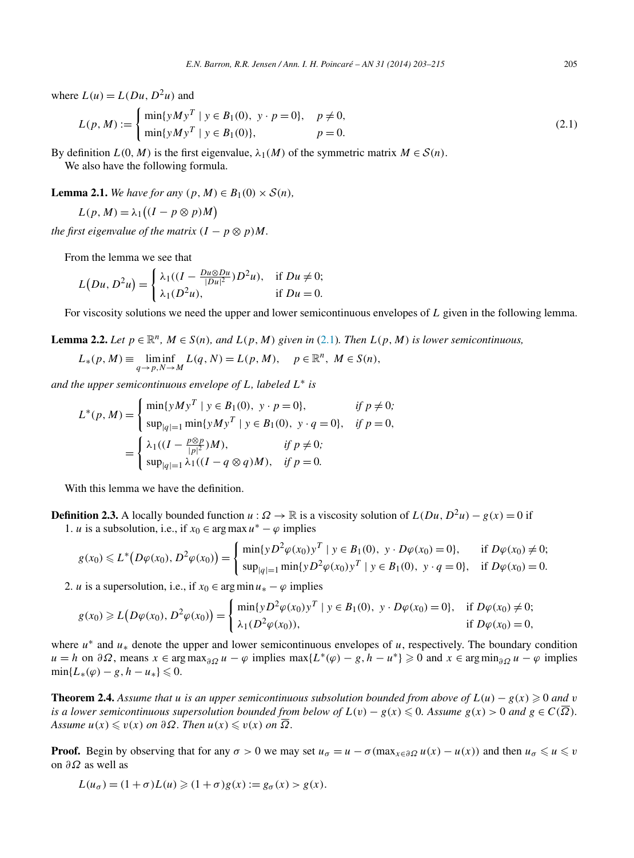where  $L(u) = L(Du, D<sup>2</sup>u)$  and

$$
L(p, M) := \begin{cases} \min\{yMy^T \mid y \in B_1(0), \ y \cdot p = 0\}, & p \neq 0, \\ \min\{yMy^T \mid y \in B_1(0)\}, & p = 0. \end{cases}
$$
 (2.1)

By definition  $L(0, M)$  is the first eigenvalue,  $\lambda_1(M)$  of the symmetric matrix  $M \in S(n)$ . We also have the following formula.

**Lemma 2.1.** *We have for any*  $(p, M) \in B_1(0) \times S(n)$ *,* 

$$
L(p, M) = \lambda_1 \big( (I - p \otimes p) M \big)
$$

*the first eigenvalue of the matrix*  $(I - p \otimes p)M$ *.* 

From the lemma we see that

$$
L(Du, D2u) = \begin{cases} \lambda_1((I - \frac{Du \otimes Du}{|Du|^2})D^2u), & \text{if } Du \neq 0; \\ \lambda_1(D^2u), & \text{if } Du = 0. \end{cases}
$$

For viscosity solutions we need the upper and lower semicontinuous envelopes of *L* given in the following lemma.

**Lemma 2.2.** *Let*  $p \in \mathbb{R}^n$ ,  $M \in S(n)$ *, and*  $L(p, M)$  *given in* (2.1)*. Then*  $L(p, M)$  *is lower semicontinuous,* 

$$
L_*(p, M) \equiv \liminf_{q \to p, N \to M} L(q, N) = L(p, M), \quad p \in \mathbb{R}^n, M \in S(n),
$$

*and the upper semicontinuous envelope of L, labeled L*<sup>∗</sup> *is*

$$
L^*(p, M) = \begin{cases} \min\{yMy^T \mid y \in B_1(0), y \cdot p = 0\}, & \text{if } p \neq 0; \\ \sup_{|q|=1} \min\{yMy^T \mid y \in B_1(0), y \cdot q = 0\}, & \text{if } p = 0, \\ \lambda_1((I - \frac{p \otimes p}{|p|^2})M), & \text{if } p \neq 0; \\ \sup_{|q|=1} \lambda_1((I - q \otimes q)M), & \text{if } p = 0. \end{cases}
$$

With this lemma we have the definition.

**Definition 2.3.** A locally bounded function *u* :  $\Omega \to \mathbb{R}$  is a viscosity solution of  $L(Du, D^2u) - g(x) = 0$  if 1. *u* is a subsolution, i.e., if  $x_0 \in \arg \max u^* - \varphi$  implies

$$
g(x_0) \leq L^* \big( D\varphi(x_0), D^2\varphi(x_0) \big) = \begin{cases} \min\{y D^2\varphi(x_0) y^T \mid y \in B_1(0), y \cdot D\varphi(x_0) = 0 \}, & \text{if } D\varphi(x_0) \neq 0; \\ \sup_{|q| = 1} \min\{y D^2\varphi(x_0) y^T \mid y \in B_1(0), y \cdot q = 0 \}, & \text{if } D\varphi(x_0) = 0. \end{cases}
$$

2. *u* is a supersolution, i.e., if  $x_0 \in \arg \min u_* - \varphi$  implies

$$
g(x_0) \geq L(D\varphi(x_0), D^2\varphi(x_0)) = \begin{cases} \min\{yD^2\varphi(x_0)y^T \mid y \in B_1(0), y \cdot D\varphi(x_0) = 0\}, & \text{if } D\varphi(x_0) \neq 0; \\ \lambda_1(D^2\varphi(x_0)), & \text{if } D\varphi(x_0) = 0, \end{cases}
$$

where *u*<sup>∗</sup> and *u*<sup>∗</sup> denote the upper and lower semicontinuous envelopes of *u*, respectively. The boundary condition  $u = h$  on  $\partial\Omega$ , means  $x \in \arg \max_{\partial\Omega} u - \varphi$  implies  $\max\{L^*(\varphi) - g, h - u^*\} \geq 0$  and  $x \in \arg \min_{\partial\Omega} u - \varphi$  implies  $\min\{L_*(\varphi) - g, h - u_*\} \leq 0.$ 

**Theorem 2.4.** *Assume that u is an upper semicontinuous subsolution bounded from above of*  $L(u) - g(x) \ge 0$  *and v is a lower semicontinuous supersolution bounded from below of*  $L(v) - g(x) \leqslant 0$ *. Assume*  $g(x) > 0$  *and*  $g \in C(\overline{\Omega})$ *.*  $A$ ssume  $u(x) \leq v(x)$  *on*  $\partial \Omega$ *. Then*  $u(x) \leq v(x)$  *on*  $\Omega$ *.* 

**Proof.** Begin by observing that for any  $\sigma > 0$  we may set  $u_{\sigma} = u - \sigma(\max_{x \in \partial \Omega} u(x) - u(x))$  and then  $u_{\sigma} \leq u \leq v$ on *∂Ω* as well as

$$
L(u_{\sigma}) = (1 + \sigma)L(u) \geq (1 + \sigma)g(x) := g_{\sigma}(x) > g(x).
$$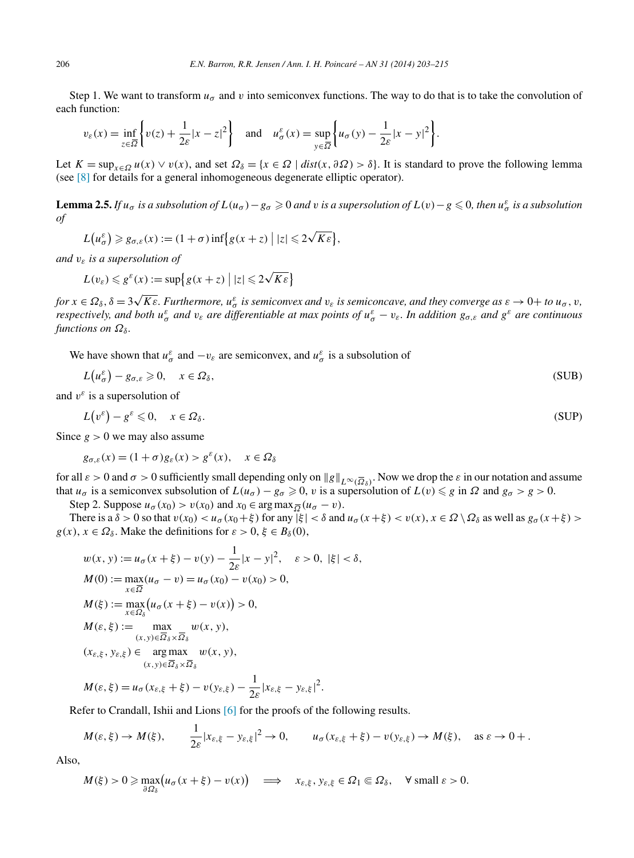Step 1. We want to transform  $u_{\sigma}$  and v into semiconvex functions. The way to do that is to take the convolution of each function:

$$
v_{\varepsilon}(x) = \inf_{z \in \overline{\Omega}} \left\{ v(z) + \frac{1}{2\varepsilon} |x - z|^2 \right\} \quad \text{and} \quad u_{\sigma}^{\varepsilon}(x) = \sup_{y \in \overline{\Omega}} \left\{ u_{\sigma}(y) - \frac{1}{2\varepsilon} |x - y|^2 \right\}.
$$

Let  $K = \sup_{x \in \Omega} u(x) \vee v(x)$ , and set  $\Omega_{\delta} = \{x \in \Omega \mid dist(x, \delta \Omega) > \delta\}$ . It is standard to prove the following lemma (see [\[8\]](#page-12-0) for details for a general inhomogeneous degenerate elliptic operator).

**Lemma 2.5.** If  $u_{\sigma}$  is a subsolution of  $L(u_{\sigma}) - g_{\sigma} \ge 0$  and v is a supersolution of  $L(v) - g \le 0$ , then  $u_{\sigma}^{\varepsilon}$  is a subsolution *of*

$$
L(u_{\sigma}^{\varepsilon}) \geqslant g_{\sigma,\varepsilon}(x) := (1+\sigma)\inf\bigl\{g(x+z) \bigm| |z| \leqslant 2\sqrt{K\varepsilon}\bigr\},\,
$$

*and vε is a supersolution of*

$$
L(v_{\varepsilon}) \leqslant g^{\varepsilon}(x) := \sup \{ g(x+z) \mid |z| \leqslant 2\sqrt{K\varepsilon} \}
$$

for  $x \in \Omega_\delta$ ,  $\delta = 3\sqrt{K\varepsilon}$ . Furthermore,  $u_\sigma^\varepsilon$  is semiconvex and  $v_\varepsilon$  is semiconcave, and they converge as  $\varepsilon \to 0+$  to  $u_\sigma$ , v, respectively, and both  $u_\sigma^{\varepsilon}$  and  $v_\varepsilon$  are differentiable at max points of  $u_\sigma^\varepsilon - v_\varepsilon$ . In addition  $g_{\sigma,\varepsilon}$  and  $g^\varepsilon$  are continuous *functions on*  $\Omega_{\delta}$ *.* 

We have shown that  $u^{\varepsilon}_{\sigma}$  and  $-v_{\varepsilon}$  are semiconvex, and  $u^{\varepsilon}_{\sigma}$  is a subsolution of

$$
L(u_{\sigma}^{\varepsilon}) - g_{\sigma,\varepsilon} \geqslant 0, \quad x \in \Omega_{\delta}, \tag{SUB}
$$

and  $v^{\varepsilon}$  is a supersolution of

$$
L(v^{\varepsilon}) - g^{\varepsilon} \leqslant 0, \quad x \in \Omega_{\delta}.\tag{SUP}
$$

Since  $g > 0$  we may also assume

$$
g_{\sigma,\varepsilon}(x) = (1+\sigma)g_{\varepsilon}(x) > g^{\varepsilon}(x), \quad x \in \Omega_{\delta}
$$

for all  $\varepsilon > 0$  and  $\sigma > 0$  sufficiently small depending only on  $||g||_{L^{\infty}(\overline{\Omega}_{\delta})}$ . Now we drop the  $\varepsilon$  in our notation and assume that  $u_{\sigma}$  is a semiconvex subsolution of  $L(u_{\sigma}) - g_{\sigma} \ge 0$ , *v* is a supersolution of  $L(v) \le g$  in  $\Omega$  and  $g_{\sigma} > g > 0$ .

Step 2. Suppose  $u_{\sigma}(x_0) > v(x_0)$  and  $x_0 \in \arg \max_{\overline{\Omega}} (u_{\sigma} - v)$ .

There is a  $\delta > 0$  so that  $v(x_0) < u_\sigma(x_0 + \xi)$  for any  $|\xi| < \delta$  and  $u_\sigma(x + \xi) < v(x), x \in \Omega \setminus \Omega_\delta$  as well as  $g_\sigma(x + \xi) >$  $g(x)$ ,  $x \in \Omega_{\delta}$ . Make the definitions for  $\varepsilon > 0$ ,  $\xi \in B_{\delta}(0)$ ,

$$
w(x, y) := u_{\sigma}(x + \xi) - v(y) - \frac{1}{2\varepsilon}|x - y|^2, \quad \varepsilon > 0, |\xi| < \delta,
$$
  
\n
$$
M(0) := \max_{x \in \overline{\Omega}} (u_{\sigma} - v) = u_{\sigma}(x_0) - v(x_0) > 0,
$$
  
\n
$$
M(\xi) := \max_{x \in \Omega_{\delta}} (u_{\sigma}(x + \xi) - v(x)) > 0,
$$
  
\n
$$
M(\varepsilon, \xi) := \max_{(x, y) \in \overline{\Omega}_{\delta} \times \overline{\Omega}_{\delta}} w(x, y),
$$
  
\n
$$
(x_{\varepsilon, \xi}, y_{\varepsilon, \xi}) \in \arg\max_{(x, y) \in \overline{\Omega}_{\delta} \times \overline{\Omega}_{\delta}} w(x, y),
$$
  
\n
$$
M(\varepsilon, \xi) = u_{\sigma}(x_{\varepsilon, \xi} + \xi) - v(y_{\varepsilon, \xi}) - \frac{1}{2\varepsilon}|x_{\varepsilon, \xi} - y_{\varepsilon, \xi}|^2.
$$

Refer to Crandall, Ishii and Lions [\[6\]](#page-12-0) for the proofs of the following results.

$$
M(\varepsilon, \xi) \to M(\xi),
$$
  $\frac{1}{2\varepsilon}|x_{\varepsilon, \xi} - y_{\varepsilon, \xi}|^2 \to 0,$   $u_{\sigma}(x_{\varepsilon, \xi} + \xi) - v(y_{\varepsilon, \xi}) \to M(\xi),$  as  $\varepsilon \to 0+$ .

Also,

$$
M(\xi) > 0 \ge \max_{\partial \Omega_{\delta}} \big( u_{\sigma}(x + \xi) - v(x) \big) \quad \Longrightarrow \quad x_{\varepsilon, \xi}, \, y_{\varepsilon, \xi} \in \Omega_1 \Subset \Omega_{\delta}, \quad \forall \text{ small } \varepsilon > 0.
$$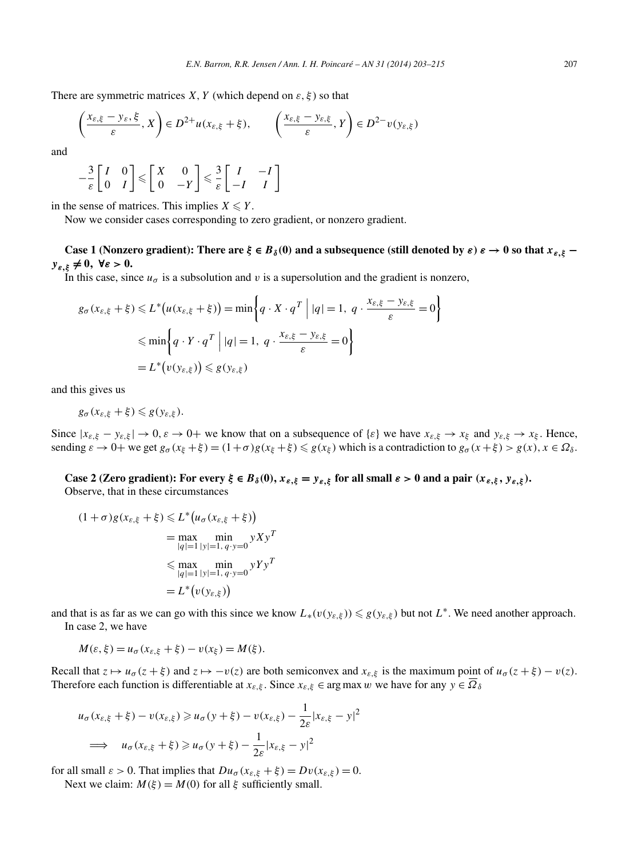There are symmetric matrices *X*, *Y* (which depend on  $\varepsilon$ ,  $\xi$ ) so that

$$
\left(\frac{x_{\varepsilon,\xi}-y_{\varepsilon,\xi}}{\varepsilon},X\right)\in D^{2+}u(x_{\varepsilon,\xi}+\xi),\qquad \left(\frac{x_{\varepsilon,\xi}-y_{\varepsilon,\xi}}{\varepsilon},Y\right)\in D^{2-}v(y_{\varepsilon,\xi})
$$

and

$$
-\frac{3}{\varepsilon} \begin{bmatrix} I & 0 \\ 0 & I \end{bmatrix} \leq \begin{bmatrix} X & 0 \\ 0 & -Y \end{bmatrix} \leq \frac{3}{\varepsilon} \begin{bmatrix} I & -I \\ -I & I \end{bmatrix}
$$

in the sense of matrices. This implies  $X \leq Y$ .

Now we consider cases corresponding to zero gradient, or nonzero gradient.

**Case 1** (Nonzero gradient): There are  $\xi \in B_\delta(0)$  and a subsequence (still denoted by  $\varepsilon$ )  $\varepsilon \to 0$  so that  $x_{\varepsilon,\xi}$  – *yε,ξ* **= 0***,* **∀***ε >* **0.**

In this case, since  $u_{\sigma}$  is a subsolution and *v* is a supersolution and the gradient is nonzero,

$$
g_{\sigma}(x_{\varepsilon,\xi} + \xi) \le L^*(u(x_{\varepsilon,\xi} + \xi)) = \min\left\{ q \cdot X \cdot q^T \middle| |q| = 1, q \cdot \frac{x_{\varepsilon,\xi} - y_{\varepsilon,\xi}}{\varepsilon} = 0 \right\}
$$
  

$$
\le \min\left\{ q \cdot Y \cdot q^T \middle| |q| = 1, q \cdot \frac{x_{\varepsilon,\xi} - y_{\varepsilon,\xi}}{\varepsilon} = 0 \right\}
$$
  

$$
= L^*(v(y_{\varepsilon,\xi})) \le g(y_{\varepsilon,\xi})
$$

and this gives us

$$
g_{\sigma}(x_{\varepsilon,\xi}+\xi)\leq g(y_{\varepsilon,\xi}).
$$

Since  $|x_{\varepsilon,\xi} - y_{\varepsilon,\xi}| \to 0$ ,  $\varepsilon \to 0+$  we know that on a subsequence of  $\{\varepsilon\}$  we have  $x_{\varepsilon,\xi} \to x_{\xi}$  and  $y_{\varepsilon,\xi} \to x_{\xi}$ . Hence, sending  $\varepsilon \to 0+$  we get  $g_{\sigma}(x_{\xi}+\xi) = (1+\sigma)g(x_{\xi}+\xi) \leq g(x_{\xi})$  which is a contradiction to  $g_{\sigma}(x+\xi) > g(x), x \in \Omega_{\delta}$ .

**Case 2** (Zero gradient): For every  $\xi \in B_\delta(0)$ ,  $x_{\varepsilon,\xi} = y_{\varepsilon,\xi}$  for all small  $\varepsilon > 0$  and a pair  $(x_{\varepsilon,\xi}, y_{\varepsilon,\xi})$ . Observe, that in these circumstances

$$
(1 + \sigma)g(x_{\varepsilon,\xi} + \xi) \le L^*(u_{\sigma}(x_{\varepsilon,\xi} + \xi))
$$
  
= max min  

$$
|q| = 1 |y| = 1, q \cdot y = 0
$$
  

$$
\le \max_{|q| = 1} \min_{|y| = 1, q \cdot y = 0} yYy^T
$$
  
= L^\*(v(y\_{\varepsilon,\xi}))

and that is as far as we can go with this since we know  $L_*(v(y_{\varepsilon,\xi})) \leq g(y_{\varepsilon,\xi})$  but not  $L^*$ . We need another approach. In case 2, we have

$$
M(\varepsilon, \xi) = u_{\sigma}(x_{\varepsilon, \xi} + \xi) - v(x_{\xi}) = M(\xi).
$$

Recall that  $z \mapsto u_{\sigma}(z + \xi)$  and  $z \mapsto -v(z)$  are both semiconvex and  $x_{\varepsilon,\xi}$  is the maximum point of  $u_{\sigma}(z + \xi) - v(z)$ . Therefore each function is differentiable at  $x_{\varepsilon,\xi}$ . Since  $x_{\varepsilon,\xi} \in \arg \max w$  we have for any  $y \in \overline{\Omega}_{\delta}$ 

$$
u_{\sigma}(x_{\varepsilon,\xi} + \xi) - v(x_{\varepsilon,\xi}) \ge u_{\sigma}(y + \xi) - v(x_{\varepsilon,\xi}) - \frac{1}{2\varepsilon}|x_{\varepsilon,\xi} - y|^2
$$
  

$$
\implies u_{\sigma}(x_{\varepsilon,\xi} + \xi) \ge u_{\sigma}(y + \xi) - \frac{1}{2\varepsilon}|x_{\varepsilon,\xi} - y|^2
$$

for all small  $\varepsilon > 0$ . That implies that  $Du_{\sigma}(x_{\varepsilon,\xi} + \xi) = Dv(x_{\varepsilon,\xi}) = 0$ .

Next we claim:  $M(\xi) = M(0)$  for all  $\xi$  sufficiently small.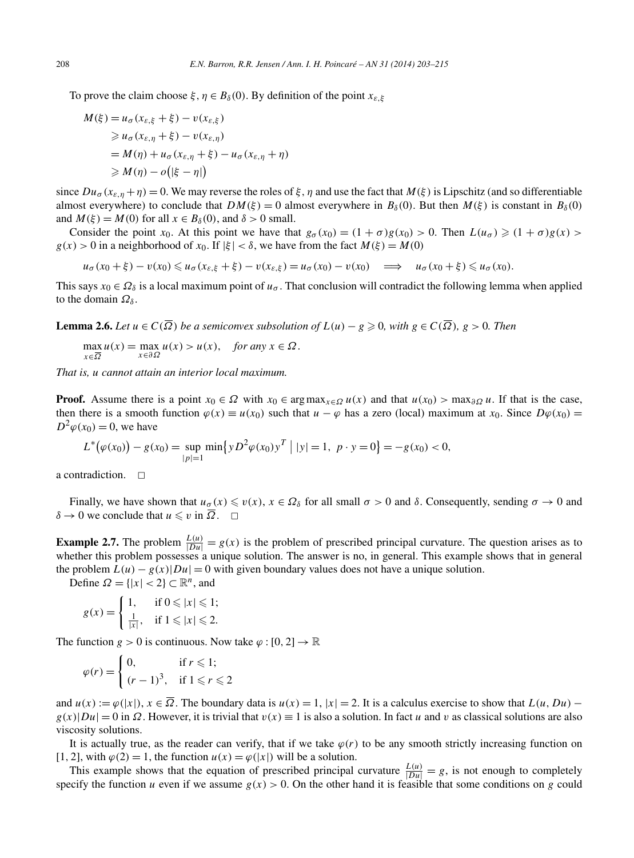To prove the claim choose  $\xi, \eta \in B_\delta(0)$ . By definition of the point  $x_{\varepsilon,\xi}$ 

$$
M(\xi) = u_{\sigma}(x_{\varepsilon,\xi} + \xi) - v(x_{\varepsilon,\xi})
$$
  
\n
$$
\geq u_{\sigma}(x_{\varepsilon,\eta} + \xi) - v(x_{\varepsilon,\eta})
$$
  
\n
$$
= M(\eta) + u_{\sigma}(x_{\varepsilon,\eta} + \xi) - u_{\sigma}(x_{\varepsilon,\eta} + \eta)
$$
  
\n
$$
\geq M(\eta) - o(|\xi - \eta|)
$$

since  $Du_{\sigma}(x_{\varepsilon,n}+\eta)=0$ . We may reverse the roles of  $\xi,\eta$  and use the fact that  $M(\xi)$  is Lipschitz (and so differentiable almost everywhere) to conclude that  $DM(\xi) = 0$  almost everywhere in  $B_\delta(0)$ . But then  $M(\xi)$  is constant in  $B_\delta(0)$ and  $M(\xi) = M(0)$  for all  $x \in B_\delta(0)$ , and  $\delta > 0$  small.

Consider the point *x*<sub>0</sub>. At this point we have that  $g_{\sigma}(x_0) = (1 + \sigma)g(x_0) > 0$ . Then  $L(u_{\sigma}) \geq (1 + \sigma)g(x) >$  $g(x) > 0$  in a neighborhood of  $x_0$ . If  $|\xi| < \delta$ , we have from the fact  $M(\xi) = M(0)$ 

 $u_{\sigma}(x_0+\xi)-v(x_0)\leq u_{\sigma}(x_{\varepsilon,\xi}+\xi)-v(x_{\varepsilon,\xi})=u_{\sigma}(x_0)-v(x_0) \implies u_{\sigma}(x_0+\xi)\leq u_{\sigma}(x_0).$ 

This says  $x_0 \in \Omega_\delta$  is a local maximum point of  $u_\sigma$ . That conclusion will contradict the following lemma when applied to the domain  $\Omega_{\delta}$ .

**Lemma 2.6.** *Let*  $u \in C(\overline{\Omega})$  *be a semiconvex subsolution of*  $L(u) - g \ge 0$ *, with*  $g \in C(\overline{\Omega})$ *,*  $g > 0$ *. Then* 

$$
\max_{x \in \overline{\Omega}} u(x) = \max_{x \in \partial \Omega} u(x) > u(x), \quad \text{for any } x \in \Omega.
$$

*That is, u cannot attain an interior local maximum.*

**Proof.** Assume there is a point  $x_0 \in \Omega$  with  $x_0 \in \arg \max_{x \in \Omega} u(x)$  and that  $u(x_0) > \max_{\partial \Omega} u$ . If that is the case, then there is a smooth function  $\varphi(x) \equiv u(x_0)$  such that  $u - \varphi$  has a zero (local) maximum at  $x_0$ . Since  $D\varphi(x_0) =$  $D^2\varphi(x_0) = 0$ , we have

$$
L^{\ast}(\varphi(x_0)) - g(x_0) = \sup_{|p|=1} \min \{ y D^2 \varphi(x_0) y^T \mid |y| = 1, \ p \cdot y = 0 \} = -g(x_0) < 0,
$$

a contradiction.  $\Box$ 

Finally, we have shown that  $u_{\sigma}(x) \leq v(x)$ ,  $x \in \Omega_{\delta}$  for all small  $\sigma > 0$  and  $\delta$ . Consequently, sending  $\sigma \to 0$  and  $\delta \to 0$  we conclude that  $u \leq v$  in  $\overline{\Omega}$ .  $\Box$ 

**Example 2.7.** The problem  $\frac{L(u)}{|Du|} = g(x)$  is the problem of prescribed principal curvature. The question arises as to whether this problem possesses a unique solution. The answer is no, in general. This example shows that in general the problem  $L(u) - g(x)|Du| = 0$  with given boundary values does not have a unique solution.

Define  $\Omega = \{ |x| < 2 \} \subset \mathbb{R}^n$ , and

$$
g(x) = \begin{cases} 1, & \text{if } 0 \leqslant |x| \leqslant 1; \\ \frac{1}{|x|}, & \text{if } 1 \leqslant |x| \leqslant 2. \end{cases}
$$

The function *g* > 0 is continuous. Now take  $\varphi$  : [0, 2]  $\rightarrow \mathbb{R}$ 

$$
\varphi(r) = \begin{cases} 0, & \text{if } r \leq 1; \\ (r-1)^3, & \text{if } 1 \leq r \leq 2 \end{cases}
$$

and  $u(x) := \varphi(|x|)$ ,  $x \in \overline{\Omega}$ . The boundary data is  $u(x) = 1$ ,  $|x| = 2$ . It is a calculus exercise to show that  $L(u, Du)$  –  $g(x)|Du| = 0$  in  $\Omega$ . However, it is trivial that  $v(x) \equiv 1$  is also a solution. In fact *u* and *v* as classical solutions are also viscosity solutions.

It is actually true, as the reader can verify, that if we take  $\varphi(r)$  to be any smooth strictly increasing function on [1, 2], with  $\varphi(2) = 1$ , the function  $u(x) = \varphi(|x|)$  will be a solution.

This example shows that the equation of prescribed principal curvature  $\frac{L(u)}{|Du|} = g$ , is not enough to completely specify the function *u* even if we assume  $g(x) > 0$ . On the other hand it is feasible that some conditions on *g* could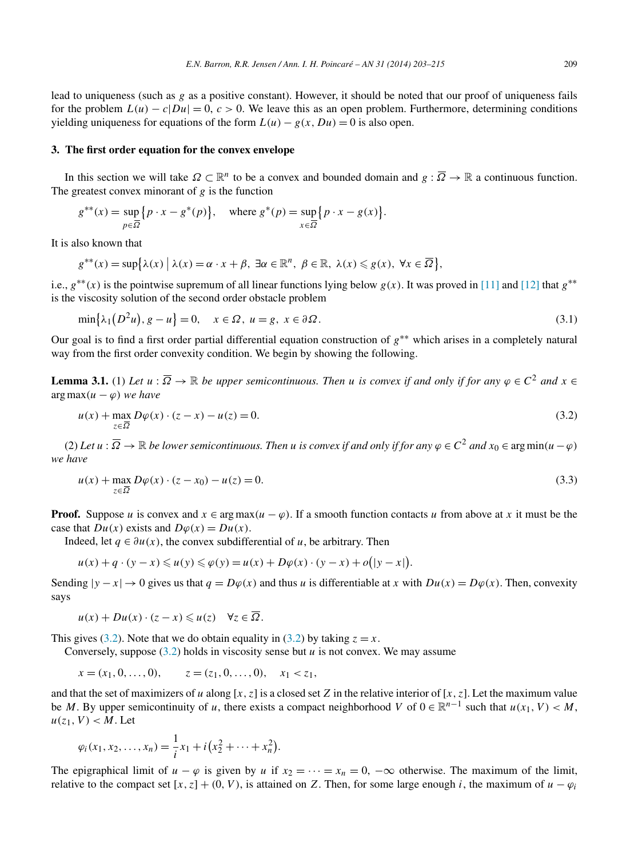<span id="page-6-0"></span>lead to uniqueness (such as *g* as a positive constant). However, it should be noted that our proof of uniqueness fails for the problem  $L(u) - c|Du| = 0$ ,  $c > 0$ . We leave this as an open problem. Furthermore, determining conditions yielding uniqueness for equations of the form  $L(u) - g(x, Du) = 0$  is also open.

#### **3. The first order equation for the convex envelope**

In this section we will take  $\Omega \subset \mathbb{R}^n$  to be a convex and bounded domain and  $g : \overline{\Omega} \to \mathbb{R}$  a continuous function. The greatest convex minorant of  $g$  is the function

$$
g^{**}(x) = \sup_{p \in \overline{\Omega}} \left\{ p \cdot x - g^*(p) \right\}, \quad \text{where } g^*(p) = \sup_{x \in \overline{\Omega}} \left\{ p \cdot x - g(x) \right\}.
$$

It is also known that

 $g^{**}(x) = \sup\{\lambda(x) \mid \lambda(x) = \alpha \cdot x + \beta, \exists \alpha \in \mathbb{R}^n, \ \beta \in \mathbb{R}, \ \lambda(x) \leq g(x), \ \forall x \in \overline{\Omega}\},\$ 

i.e.,  $g^{**}(x)$  is the pointwise supremum of all linear functions lying below  $g(x)$ . It was proved in [\[11\]](#page-12-0) and [\[12\]](#page-12-0) that  $g^{**}$ is the viscosity solution of the second order obstacle problem

$$
\min\{\lambda_1(D^2u), g - u\} = 0, \quad x \in \Omega, u = g, x \in \partial\Omega.
$$
\n(3.1)

Our goal is to find a first order partial differential equation construction of *g*∗∗ which arises in a completely natural way from the first order convexity condition. We begin by showing the following.

**Lemma 3.1.** (1) Let  $u : \overline{\Omega} \to \mathbb{R}$  be upper semicontinuous. Then *u* is convex if and only if for any  $\varphi \in C^2$  and  $x \in C$  $\arg \max(u - \varphi)$  *we have* 

$$
u(x) + \max_{z \in \overline{\Omega}} D\varphi(x) \cdot (z - x) - u(z) = 0.
$$
\n(3.2)

 $(2)$  *Let*  $u : \overline{\Omega} \to \mathbb{R}$  *be lower semicontinuous. Then*  $u$  *is convex if and only if for any*  $\varphi \in C^2$  *and*  $x_0 \in \argmin(u - \varphi)$ *we have*

$$
u(x) + \max_{z \in \overline{\Omega}} D\varphi(x) \cdot (z - x_0) - u(z) = 0.
$$
 (3.3)

*.*

**Proof.** Suppose *u* is convex and  $x \in \arg \max(u - \varphi)$ . If a smooth function contacts *u* from above at *x* it must be the case that  $Du(x)$  exists and  $D\varphi(x) = Du(x)$ .

Indeed, let  $q \in \partial u(x)$ , the convex subdifferential of *u*, be arbitrary. Then

$$
u(x) + q \cdot (y - x) \leq u(y) \leq \varphi(y) = u(x) + D\varphi(x) \cdot (y - x) + o(|y - x|)
$$

Sending  $|y - x| \to 0$  gives us that  $q = D\varphi(x)$  and thus *u* is differentiable at *x* with  $D\mu(x) = D\varphi(x)$ . Then, convexity says

$$
u(x) + Du(x) \cdot (z - x) \leq u(z) \quad \forall z \in \overline{\Omega}.
$$

This gives (3.2). Note that we do obtain equality in (3.2) by taking  $z = x$ .

Conversely, suppose  $(3.2)$  holds in viscosity sense but  $\mu$  is not convex. We may assume

$$
x = (x_1, 0, ..., 0), \qquad z = (z_1, 0, ..., 0), \quad x_1 < z_1,
$$

and that the set of maximizers of *u* along  $[x, z]$  is a closed set *Z* in the relative interior of  $[x, z]$ . Let the maximum value be *M*. By upper semicontinuity of *u*, there exists a compact neighborhood *V* of  $0 \in \mathbb{R}^{n-1}$  such that  $u(x_1, V) < M$ ,  $u(z_1, V) < M$ . Let

$$
\varphi_i(x_1, x_2, \ldots, x_n) = \frac{1}{i} x_1 + i \big( x_2^2 + \cdots + x_n^2 \big).
$$

The epigraphical limit of  $u - \varphi$  is given by *u* if  $x_2 = \cdots = x_n = 0$ ,  $-\infty$  otherwise. The maximum of the limit, relative to the compact set  $[x, z] + (0, V)$ , is attained on *Z*. Then, for some large enough *i*, the maximum of  $u - \varphi_i$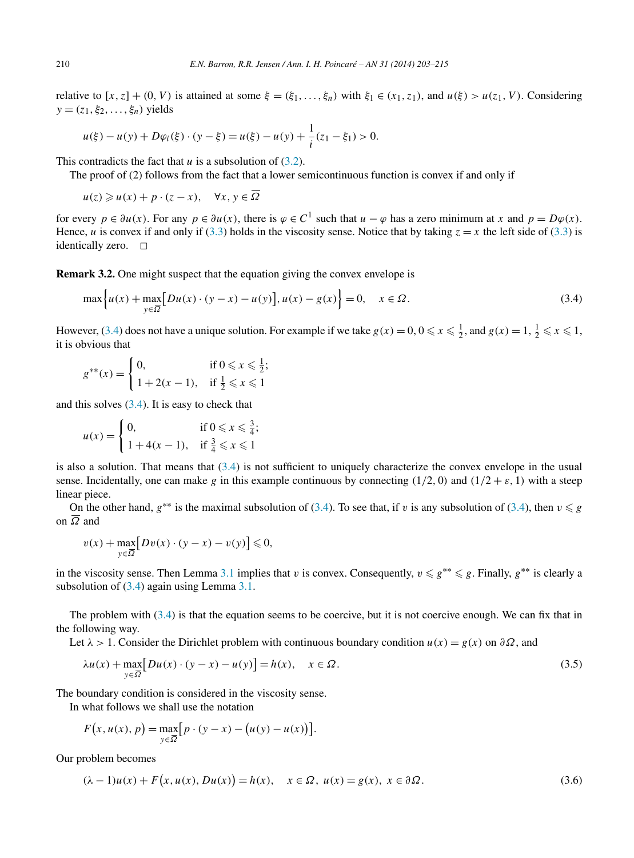<span id="page-7-0"></span>relative to  $[x, z] + (0, V)$  is attained at some  $\xi = (\xi_1, \ldots, \xi_n)$  with  $\xi_1 \in (x_1, z_1)$ , and  $u(\xi) > u(z_1, V)$ . Considering  $y = (z_1, \xi_2, \ldots, \xi_n)$  yields

$$
u(\xi) - u(y) + D\varphi_i(\xi) \cdot (y - \xi) = u(\xi) - u(y) + \frac{1}{i}(z_1 - \xi_1) > 0.
$$

This contradicts the fact that  $u$  is a subsolution of  $(3.2)$ .

The proof of (2) follows from the fact that a lower semicontinuous function is convex if and only if

 $u(z) \geq u(x) + p \cdot (z - x), \quad \forall x, y \in \overline{\Omega}$ 

for every  $p \in \partial u(x)$ . For any  $p \in \partial u(x)$ , there is  $\varphi \in C^1$  such that  $u - \varphi$  has a zero minimum at x and  $p = D\varphi(x)$ . Hence, *u* is convex if and only if [\(3.3\)](#page-6-0) holds in the viscosity sense. Notice that by taking  $z = x$  the left side of (3.3) is identically zero.  $\Box$ 

**Remark 3.2.** One might suspect that the equation giving the convex envelope is

$$
\max\left\{u(x) + \max_{y \in \overline{\Omega}} \left[ Du(x) \cdot (y - x) - u(y) \right], u(x) - g(x) \right\} = 0, \quad x \in \Omega.
$$
\n(3.4)

However, (3.4) does not have a unique solution. For example if we take  $g(x) = 0, 0 \le x \le \frac{1}{2}$ , and  $g(x) = 1, \frac{1}{2} \le x \le 1$ , it is obvious that

$$
g^{**}(x) = \begin{cases} 0, & \text{if } 0 \le x \le \frac{1}{2}; \\ 1 + 2(x - 1), & \text{if } \frac{1}{2} \le x \le 1 \end{cases}
$$

and this solves  $(3.4)$ . It is easy to check that

$$
u(x) = \begin{cases} 0, & \text{if } 0 \le x \le \frac{3}{4}; \\ 1 + 4(x - 1), & \text{if } \frac{3}{4} \le x \le 1 \end{cases}
$$

is also a solution. That means that  $(3.4)$  is not sufficient to uniquely characterize the convex envelope in the usual sense. Incidentally, one can make *g* in this example continuous by connecting  $(1/2, 0)$  and  $(1/2 + \varepsilon, 1)$  with a steep linear piece.

On the other hand,  $g^{**}$  is the maximal subsolution of (3.4). To see that, if *v* is any subsolution of (3.4), then  $v \le g$ on *Ω* and

$$
v(x) + \max_{y \in \overline{\Omega}} \big[ Dv(x) \cdot (y - x) - v(y) \big] \leq 0,
$$

in the viscosity sense. Then Lemma [3.1](#page-6-0) implies that *v* is convex. Consequently,  $v \le g^{**} \le g$ . Finally,  $g^{**}$  is clearly a subsolution of  $(3.4)$  again using Lemma [3.1.](#page-6-0)

The problem with (3.4) is that the equation seems to be coercive, but it is not coercive enough. We can fix that in the following way.

Let  $\lambda > 1$ . Consider the Dirichlet problem with continuous boundary condition  $u(x) = g(x)$  on  $\partial \Omega$ , and

$$
\lambda u(x) + \max_{y \in \overline{\Omega}} \left[ Du(x) \cdot (y - x) - u(y) \right] = h(x), \quad x \in \Omega.
$$
\n(3.5)

The boundary condition is considered in the viscosity sense.

In what follows we shall use the notation

$$
F(x, u(x), p) = \max_{y \in \overline{\Omega}} [p \cdot (y - x) - (u(y) - u(x))].
$$

Our problem becomes

$$
(\lambda - 1)u(x) + F(x, u(x), Du(x)) = h(x), \quad x \in \Omega, \ u(x) = g(x), \ x \in \partial\Omega.
$$
 (3.6)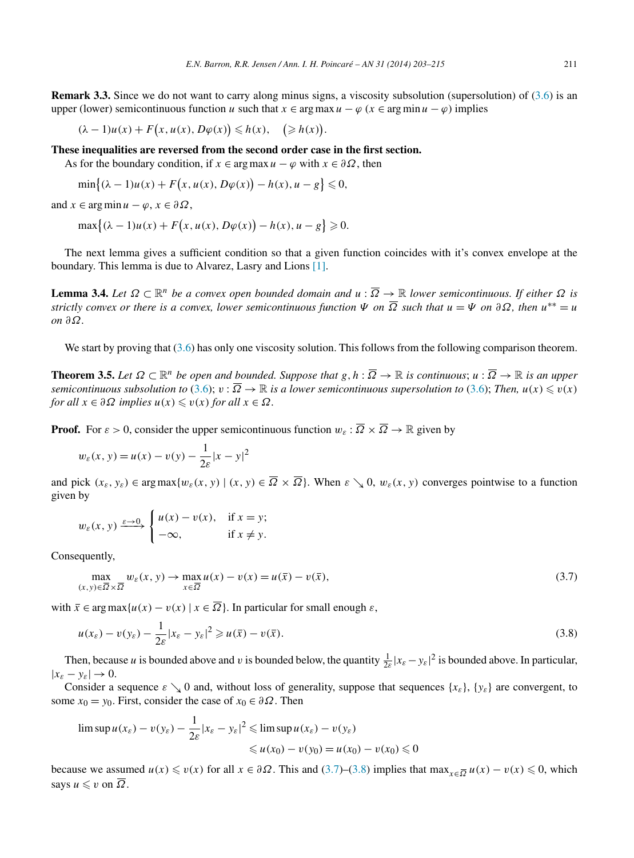<span id="page-8-0"></span>**Remark 3.3.** Since we do not want to carry along minus signs, a viscosity subsolution (supersolution) of  $(3.6)$  is an upper (lower) semicontinuous function *u* such that  $x \in \arg \max u - \varphi$  ( $x \in \arg \min u - \varphi$ ) implies

*.*

$$
(\lambda - 1)u(x) + F(x, u(x), D\varphi(x)) \le h(x), \quad (\ge h(x))
$$

**These inequalities are reversed from the second order case in the first section.**

As for the boundary condition, if  $x \in \arg \max u - \varphi$  with  $x \in \partial \Omega$ , then

$$
\min\{(\lambda-1)u(x)+F(x,u(x),D\varphi(x))-h(x),u-g\}\leqslant 0,
$$

and  $x \in \arg \min u - \varphi, x \in \partial \Omega$ ,

$$
\max\{(\lambda - 1)u(x) + F(x, u(x), D\varphi(x)) - h(x), u - g\} \geq 0.
$$

The next lemma gives a sufficient condition so that a given function coincides with it's convex envelope at the boundary. This lemma is due to Alvarez, Lasry and Lions [\[1\].](#page-12-0)

**Lemma 3.4.** Let  $\Omega \subset \mathbb{R}^n$  be a convex open bounded domain and  $u : \overline{\Omega} \to \mathbb{R}$  lower semicontinuous. If either  $\Omega$  is *strictly convex or there is a convex, lower semicontinuous function*  $\Psi$  *on*  $\overline{\Omega}$  *such that*  $u = \Psi$  *on*  $\partial \Omega$ *, then*  $u^{**} = u$ *on ∂Ω.*

We start by proving that  $(3.6)$  has only one viscosity solution. This follows from the following comparison theorem.

**Theorem 3.5.** Let  $\Omega \subset \mathbb{R}^n$  be open and bounded. Suppose that  $g, h : \overline{\Omega} \to \mathbb{R}$  is continuous;  $u : \overline{\Omega} \to \mathbb{R}$  is an upper *semicontinuous subsolution to* [\(3.6\)](#page-7-0);  $v:\overline{\Omega}\to\mathbb{R}$  *is a lower semicontinuous supersolution to* (3.6); Then,  $u(x)\leqslant v(x)$  $for \ all \ x \in \partial \Omega \ implies \ u(x) \leqslant v(x) \ for \ all \ x \in \Omega.$ 

**Proof.** For  $\varepsilon > 0$ , consider the upper semicontinuous function  $w_{\varepsilon} : \overline{\Omega} \times \overline{\Omega} \to \mathbb{R}$  given by

$$
w_{\varepsilon}(x, y) = u(x) - v(y) - \frac{1}{2\varepsilon}|x - y|^2
$$

and pick  $(x_{\varepsilon}, y_{\varepsilon}) \in \arg \max \{ w_{\varepsilon}(x, y) \mid (x, y) \in \overline{\Omega} \times \overline{\Omega} \}$ . When  $\varepsilon \searrow 0$ ,  $w_{\varepsilon}(x, y)$  converges pointwise to a function given by

$$
w_{\varepsilon}(x, y) \xrightarrow{\varepsilon \to 0} \begin{cases} u(x) - v(x), & \text{if } x = y; \\ -\infty, & \text{if } x \neq y. \end{cases}
$$

Consequently,

$$
\max_{(x,y)\in\overline{\Omega}\times\overline{\Omega}}w_{\varepsilon}(x,y)\to\max_{x\in\overline{\Omega}}u(x)-v(x)=u(\overline{x})-v(\overline{x}),
$$
\n(3.7)

with  $\bar{x} \in \arg \max \{u(x) - v(x) \mid x \in \overline{\Omega}\}\.$  In particular for small enough  $\varepsilon$ ,

$$
u(x_{\varepsilon}) - v(y_{\varepsilon}) - \frac{1}{2\varepsilon}|x_{\varepsilon} - y_{\varepsilon}|^2 \geqslant u(\overline{x}) - v(\overline{x}).
$$
\n(3.8)

Then, because *u* is bounded above and *v* is bounded below, the quantity  $\frac{1}{2\varepsilon} |x_{\varepsilon} - y_{\varepsilon}|^2$  is bounded above. In particular,  $|x_{\varepsilon} - y_{\varepsilon}| \to 0.$ 

Consider a sequence  $\varepsilon \searrow 0$  and, without loss of generality, suppose that sequences  $\{x_{\varepsilon}\}, \{y_{\varepsilon}\}\)$  are convergent, to some  $x_0 = y_0$ . First, consider the case of  $x_0 \in \partial \Omega$ . Then

$$
\limsup u(x_{\varepsilon}) - v(y_{\varepsilon}) - \frac{1}{2\varepsilon} |x_{\varepsilon} - y_{\varepsilon}|^2 \leq \limsup u(x_{\varepsilon}) - v(y_{\varepsilon})
$$
  
\$\leq u(x\_0) - v(y\_0) = u(x\_0) - v(x\_0) \leq 0\$

because we assumed  $u(x) \leq v(x)$  for all  $x \in \partial \Omega$ . This and (3.7)–(3.8) implies that  $\max_{x \in \overline{\Omega}} u(x) - v(x) \leq 0$ , which says  $u \leq v$  on  $\Omega$ .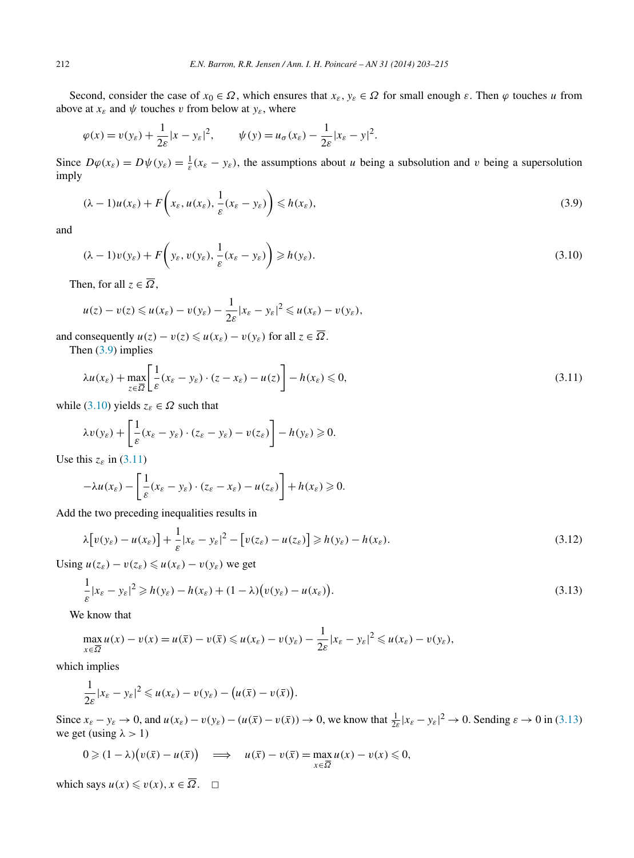Second, consider the case of  $x_0 \in \Omega$ , which ensures that  $x_{\varepsilon}$ ,  $y_{\varepsilon} \in \Omega$  for small enough  $\varepsilon$ . Then  $\varphi$  touches *u* from above at  $x_{\varepsilon}$  and  $\psi$  touches *v* from below at  $y_{\varepsilon}$ , where

$$
\varphi(x) = v(y_{\varepsilon}) + \frac{1}{2\varepsilon}|x - y_{\varepsilon}|^2, \qquad \psi(y) = u_{\sigma}(x_{\varepsilon}) - \frac{1}{2\varepsilon}|x_{\varepsilon} - y|^2.
$$

Since  $D\varphi(x_{\varepsilon}) = D\psi(y_{\varepsilon}) = \frac{1}{\varepsilon}(x_{\varepsilon} - y_{\varepsilon})$ , the assumptions about *u* being a subsolution and *v* being a supersolution imply

$$
(\lambda - 1)u(x_{\varepsilon}) + F\left(x_{\varepsilon}, u(x_{\varepsilon}), \frac{1}{\varepsilon}(x_{\varepsilon} - y_{\varepsilon})\right) \leq h(x_{\varepsilon}),
$$
\n(3.9)

and

$$
(\lambda - 1)v(y_{\varepsilon}) + F\left(y_{\varepsilon}, v(y_{\varepsilon}), \frac{1}{\varepsilon}(x_{\varepsilon} - y_{\varepsilon})\right) \ge h(y_{\varepsilon}).
$$
\n(3.10)

Then, for all  $z \in \overline{\Omega}$ ,

$$
u(z)-v(z)\leqslant u(x_{\varepsilon})-v(y_{\varepsilon})-\frac{1}{2\varepsilon}|x_{\varepsilon}-y_{\varepsilon}|^2\leqslant u(x_{\varepsilon})-v(y_{\varepsilon}),
$$

and consequently  $u(z) - v(z) \leq u(x_{\varepsilon}) - v(y_{\varepsilon})$  for all  $z \in \overline{\Omega}$ .

Then (3.9) implies

$$
\lambda u(x_{\varepsilon}) + \max_{z \in \overline{\Omega}} \left[ \frac{1}{\varepsilon} (x_{\varepsilon} - y_{\varepsilon}) \cdot (z - x_{\varepsilon}) - u(z) \right] - h(x_{\varepsilon}) \leq 0, \tag{3.11}
$$

while (3.10) yields  $z_{\varepsilon} \in \Omega$  such that

$$
\lambda v(y_{\varepsilon}) + \left[\frac{1}{\varepsilon}(x_{\varepsilon} - y_{\varepsilon}) \cdot (z_{\varepsilon} - y_{\varepsilon}) - v(z_{\varepsilon})\right] - h(y_{\varepsilon}) \geqslant 0.
$$

Use this  $z_{\varepsilon}$  in (3.11)

$$
-\lambda u(x_{\varepsilon}) - \left[\frac{1}{\varepsilon}(x_{\varepsilon} - y_{\varepsilon}) \cdot (z_{\varepsilon} - x_{\varepsilon}) - u(z_{\varepsilon})\right] + h(x_{\varepsilon}) \geqslant 0.
$$

Add the two preceding inequalities results in

$$
\lambda \big[ v(y_{\varepsilon}) - u(x_{\varepsilon}) \big] + \frac{1}{\varepsilon} |x_{\varepsilon} - y_{\varepsilon}|^2 - \big[ v(z_{\varepsilon}) - u(z_{\varepsilon}) \big] \geqslant h(y_{\varepsilon}) - h(x_{\varepsilon}). \tag{3.12}
$$

Using  $u(z_{\varepsilon}) - v(z_{\varepsilon}) \leq u(x_{\varepsilon}) - v(y_{\varepsilon})$  we get

$$
\frac{1}{\varepsilon}|x_{\varepsilon}-y_{\varepsilon}|^2 \geqslant h(y_{\varepsilon})-h(x_{\varepsilon})+(1-\lambda)\big(v(y_{\varepsilon})-u(x_{\varepsilon})\big).
$$
\n(3.13)

We know that

$$
\max_{x \in \overline{\Omega}} u(x) - v(x) = u(\overline{x}) - v(\overline{x}) \leq u(x_{\varepsilon}) - v(y_{\varepsilon}) - \frac{1}{2\varepsilon} |x_{\varepsilon} - y_{\varepsilon}|^2 \leq u(x_{\varepsilon}) - v(y_{\varepsilon}),
$$

which implies

$$
\frac{1}{2\varepsilon}|x_{\varepsilon}-y_{\varepsilon}|^2 \leq u(x_{\varepsilon})-v(y_{\varepsilon})-\big(u(\bar{x})-v(\bar{x})\big).
$$

Since  $x_{\varepsilon} - y_{\varepsilon} \to 0$ , and  $u(x_{\varepsilon}) - v(y_{\varepsilon}) - (u(\overline{x}) - v(\overline{x})) \to 0$ , we know that  $\frac{1}{2\varepsilon} |x_{\varepsilon} - y_{\varepsilon}|^2 \to 0$ . Sending  $\varepsilon \to 0$  in (3.13) we get (using  $\lambda > 1$ )

$$
0 \geqslant (1 - \lambda) \big( v(\overline{x}) - u(\overline{x}) \big) \quad \Longrightarrow \quad u(\overline{x}) - v(\overline{x}) = \max_{x \in \overline{\Omega}} u(x) - v(x) \leqslant 0,
$$

which says  $u(x) \leq v(x), x \in \overline{\Omega}$ .  $\square$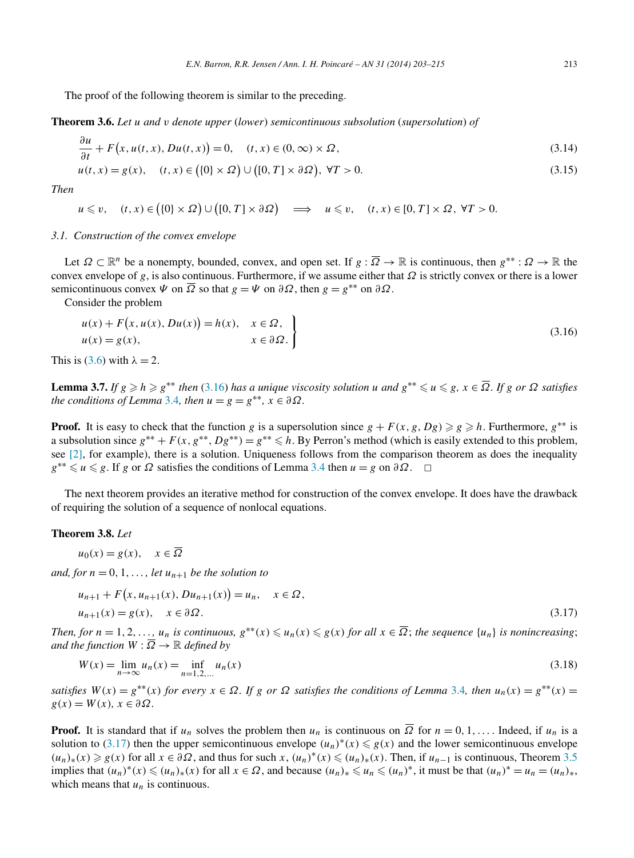<span id="page-10-0"></span>The proof of the following theorem is similar to the preceding.

**Theorem 3.6.** *Let u and v denote upper* (*lower*) *semicontinuous subsolution* (*supersolution*) *of*

$$
\frac{\partial u}{\partial t} + F(x, u(t, x), Du(t, x)) = 0, \quad (t, x) \in (0, \infty) \times \Omega,
$$
\n(3.14)

$$
u(t, x) = g(x), \quad (t, x) \in \left(\{0\} \times \Omega\right) \cup \left(\left[0, T\right] \times \partial \Omega\right), \ \forall T > 0. \tag{3.15}
$$

*Then*

*∂u*

 $u \leq v$ ,  $(t, x) \in (\{0\} \times \Omega) \cup ([0, T] \times \partial \Omega) \implies u \leq v$ ,  $(t, x) \in [0, T] \times \Omega$ ,  $\forall T > 0$ .

## *3.1. Construction of the convex envelope*

Let  $\Omega \subset \mathbb{R}^n$  be a nonempty, bounded, convex, and open set. If  $g : \overline{\Omega} \to \mathbb{R}$  is continuous, then  $g^{**} : \Omega \to \mathbb{R}$  the convex envelope of *g*, is also continuous. Furthermore, if we assume either that  $\Omega$  is strictly convex or there is a lower semicontinuous convex *Ψ* on  $\overline{\Omega}$  so that  $g = \Psi$  on  $\partial \Omega$ , then  $g = g^{**}$  on  $\partial \Omega$ .

Consider the problem

$$
u(x) + F(x, u(x), Du(x)) = h(x), \quad x \in \Omega,
$$
  
\n
$$
u(x) = g(x), \quad x \in \partial\Omega.
$$
\n(3.16)

This is [\(3.6\)](#page-7-0) with  $\lambda = 2$ .

**Lemma 3.7.** If  $g \ge h \ge g^{**}$  then (3.16) has a unique viscosity solution u and  $g^{**} \le u \le g$ ,  $x \in \overline{\Omega}$ . If  $g$  or  $\Omega$  satisfies *the conditions of Lemma* [3.4](#page-8-0)*, then*  $u = g = g^{**}, x \in \partial \Omega$ *.* 

**Proof.** It is easy to check that the function *g* is a supersolution since  $g + F(x, g, Dg) \ge g \ge h$ . Furthermore,  $g^{**}$  is a subsolution since  $g^{**} + F(x, g^{**}, Dg^{**}) = g^{**} \leq h$ . By Perron's method (which is easily extended to this problem, see  $[2]$ , for example), there is a solution. Uniqueness follows from the comparison theorem as does the inequality  $g^{**} \le u \le g$ . If *g* or *Ω* satisfies the conditions of Lemma [3.4](#page-8-0) then  $u = g$  on  $\partial \Omega$ .  $\Box$ 

The next theorem provides an iterative method for construction of the convex envelope. It does have the drawback of requiring the solution of a sequence of nonlocal equations.

## **Theorem 3.8.** *Let*

 $u_0(x) = g(x), \quad x \in \overline{\Omega}$ 

*and, for*  $n = 0, 1, \ldots$ , *let*  $u_{n+1}$  *be the solution to* 

$$
u_{n+1} + F(x, u_{n+1}(x), Du_{n+1}(x)) = u_n, \quad x \in \Omega,
$$
  
\n
$$
u_{n+1}(x) = g(x), \quad x \in \partial\Omega.
$$
\n(3.17)

Then, for  $n = 1, 2, ..., u_n$  is continuous,  $g^{**}(x) \leq u_n(x) \leq g(x)$  for all  $x \in \overline{\Omega}$ ; the sequence  $\{u_n\}$  is nonincreasing; *and the function*  $W : \overline{\Omega} \to \mathbb{R}$  *defined by* 

$$
W(x) = \lim_{n \to \infty} u_n(x) = \inf_{n=1,2,...} u_n(x)
$$
\n(3.18)

*satisfies*  $W(x) = g^{**}(x)$  *for every*  $x \in \Omega$ *. If g* or  $\Omega$  *satisfies the conditions of Lemma* [3.4](#page-8-0)*, then*  $u_n(x) = g^{**}(x)$  =  $g(x) = W(x), x \in \partial \Omega.$ 

**Proof.** It is standard that if  $u_n$  solves the problem then  $u_n$  is continuous on  $\overline{\Omega}$  for  $n = 0, 1, \ldots$  Indeed, if  $u_n$  is a solution to (3.17) then the upper semicontinuous envelope  $(u_n)^*(x) \le g(x)$  and the lower semicontinuous envelope  $(u_n)_*(x) \ge g(x)$  for all *x* ∈ ∂Ω, and thus for such *x*,  $(u_n)^*(x) \le (u_n)_*(x)$ . Then, if  $u_{n-1}$  is continuous, Theorem [3.5](#page-8-0) implies that  $(u_n)^*(x) \leq (u_n)_*(x)$  for all  $x \in \Omega$ , and because  $(u_n)_* \leq u_n \leq (u_n)^*$ , it must be that  $(u_n)^* = u_n = (u_n)_*,$ which means that  $u_n$  is continuous.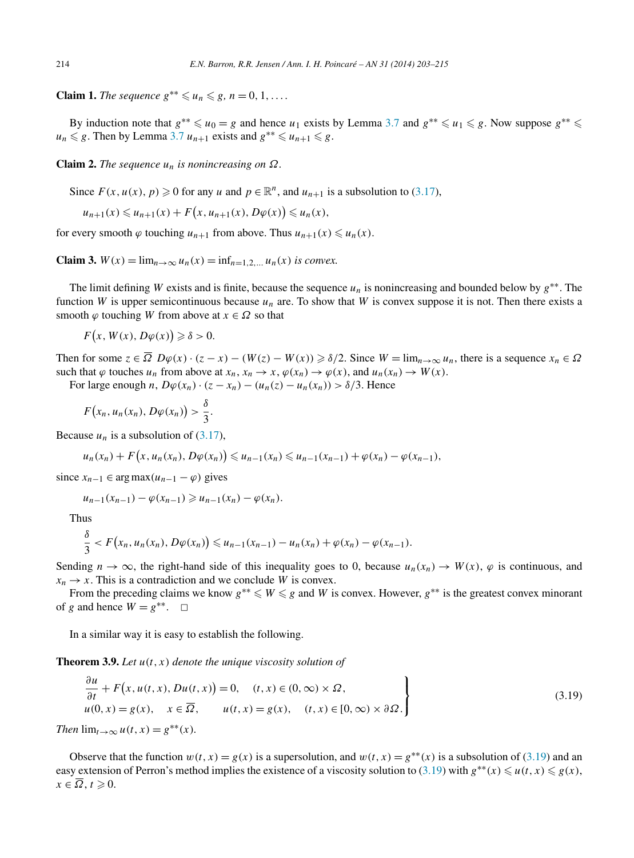**Claim 1.** *The sequence*  $g^{**} \leq u_n \leq g$ ,  $n = 0, 1, \ldots$ .

By induction note that  $g^{**} \leq u_0 = g$  and hence  $u_1$  exists by Lemma [3.7](#page-10-0) and  $g^{**} \leq u_1 \leq g$ . Now suppose  $g^{**} \leq u_1$  $u_n \leq g$ . Then by Lemma [3.7](#page-10-0)  $u_{n+1}$  exists and  $g^{**} \leq u_{n+1} \leq g$ .

**Claim 2.** *The sequence*  $u_n$  *is nonincreasing on*  $\Omega$ *.* 

Since  $F(x, u(x), p) \ge 0$  for any *u* and  $p \in \mathbb{R}^n$ , and  $u_{n+1}$  is a subsolution to [\(3.17\)](#page-10-0),

$$
u_{n+1}(x) \leq u_{n+1}(x) + F(x, u_{n+1}(x), D\varphi(x)) \leq u_n(x),
$$

for every smooth  $\varphi$  touching  $u_{n+1}$  from above. Thus  $u_{n+1}(x) \leq u_n(x)$ .

**Claim 3.**  $W(x) = \lim_{n \to \infty} u_n(x) = \inf_{n=1,2,...} u_n(x)$  *is convex.* 

The limit defining *W* exists and is finite, because the sequence *un* is nonincreasing and bounded below by *g*∗∗. The function *W* is upper semicontinuous because  $u_n$  are. To show that *W* is convex suppose it is not. Then there exists a smooth  $\varphi$  touching *W* from above at  $x \in \Omega$  so that

$$
F(x, W(x), D\varphi(x)) \geq \delta > 0.
$$

Then for some  $z \in \overline{\Omega}$   $D\varphi(x) \cdot (z - x) - (W(z) - W(x)) \ge \delta/2$ . Since  $W = \lim_{n \to \infty} u_n$ , there is a sequence  $x_n \in \Omega$ such that  $\varphi$  touches  $u_n$  from above at  $x_n$ ,  $x_n \to x$ ,  $\varphi(x_n) \to \varphi(x)$ , and  $u_n(x_n) \to W(x)$ .

For large enough *n*,  $D\varphi(x_n) \cdot (z - x_n) - (u_n(z) - u_n(x_n)) > \delta/3$ . Hence

$$
F(x_n,u_n(x_n),D\varphi(x_n))>\frac{\delta}{3}.
$$

Because  $u_n$  is a subsolution of  $(3.17)$ ,

$$
u_n(x_n) + F(x, u_n(x_n), D\varphi(x_n)) \leq u_{n-1}(x_n) \leq u_{n-1}(x_{n-1}) + \varphi(x_n) - \varphi(x_{n-1}),
$$

since  $x_{n-1} \in \arg \max(u_{n-1} - \varphi)$  gives

$$
u_{n-1}(x_{n-1}) - \varphi(x_{n-1}) \geq u_{n-1}(x_n) - \varphi(x_n).
$$

Thus *δ*

$$
\frac{\delta}{3} < F(x_n, u_n(x_n), D\varphi(x_n)) \leq u_{n-1}(x_{n-1}) - u_n(x_n) + \varphi(x_n) - \varphi(x_{n-1}).
$$

Sending  $n \to \infty$ , the right-hand side of this inequality goes to 0, because  $u_n(x_n) \to W(x)$ ,  $\varphi$  is continuous, and  $x_n \to x$ . This is a contradiction and we conclude *W* is convex.

From the preceding claims we know  $g^{**} \le W \le g$  and W is convex. However,  $g^{**}$  is the greatest convex minorant of *g* and hence  $W = g^{**}$ .  $\Box$ 

In a similar way it is easy to establish the following.

**Theorem 3.9.** *Let u(t, x) denote the unique viscosity solution of*

$$
\frac{\partial u}{\partial t} + F(x, u(t, x), Du(t, x)) = 0, \quad (t, x) \in (0, \infty) \times \Omega,
$$
  
\n
$$
u(0, x) = g(x), \quad x \in \overline{\Omega}, \quad u(t, x) = g(x), \quad (t, x) \in [0, \infty) \times \partial \Omega.
$$
\n(3.19)

*Then*  $\lim_{t\to\infty} u(t, x) = g^{**}(x)$ *.* 

Observe that the function  $w(t, x) = g(x)$  is a supersolution, and  $w(t, x) = g^{**}(x)$  is a subsolution of (3.19) and an easy extension of Perron's method implies the existence of a viscosity solution to  $(3.19)$  with  $g^{**}(x) \leq u(t, x) \leq g(x)$ ,  $x \in \Omega, t \geqslant 0.$